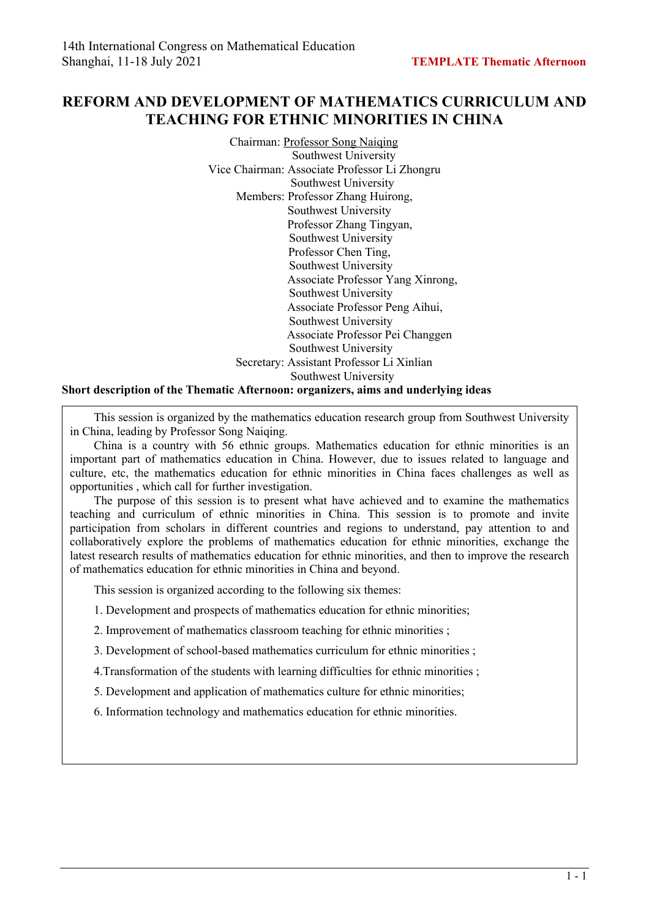## **REFORM AND DEVELOPMENT OF MATHEMATICS CURRICULUM AND TEACHING FOR ETHNIC MINORITIES IN CHINA**

Chairman: Professor Song Naiqing Southwest University Vice Chairman: Associate Professor Li Zhongru Southwest University Members: Professor Zhang Huirong, Southwest University Professor Zhang Tingyan, Southwest University Professor Chen Ting, Southwest University Associate Professor Yang Xinrong, Southwest University Associate Professor Peng Aihui, Southwest University Associate Professor Pei Changgen Southwest University Secretary: Assistant Professor Li Xinlian Southwest University

## **Short description of the Thematic Afternoon: organizers, aims and underlying ideas**

This session is organized by the mathematics education research group from Southwest University in China, leading by Professor Song Naiqing.

China is a country with 56 ethnic groups. Mathematics education for ethnic minorities is an important part of mathematics education in China. However, due to issues related to language and culture, etc, the mathematics education for ethnic minorities in China faces challenges as well as opportunities , which call for further investigation.

The purpose of this session is to present what have achieved and to examine the mathematics teaching and curriculum of ethnic minorities in China. This session is to promote and invite participation from scholars in different countries and regions to understand, pay attention to and collaboratively explore the problems of mathematics education for ethnic minorities, exchange the latest research results of mathematics education for ethnic minorities, and then to improve the research of mathematics education for ethnic minorities in China and beyond.

This session is organized according to the following six themes:

1. Development and prospects of mathematics education for ethnic minorities;

2. Improvement of mathematics classroom teaching for ethnic minorities ;

3. Development of school-based mathematics curriculum for ethnic minorities ;

4.Transformation of the students with learning difficulties for ethnic minorities ;

5. Development and application of mathematics culture for ethnic minorities;

6. Information technology and mathematics education for ethnic minorities.